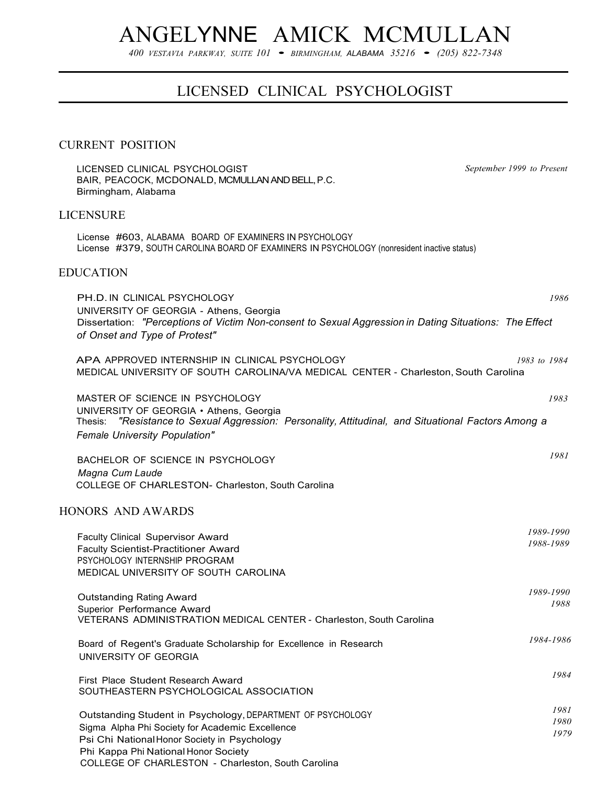# ANGELYNNE AMICK MCMULLAN

*<sup>400</sup> VESTAVIA PARKWAY, SUITE <sup>101</sup>*• *BIRMINGHAM, ALABAMA <sup>35216</sup>*• *(205) 822-7348*

# LICENSED CLINICAL PSYCHOLOGIST

# CURRENT POSITION

LICENSED CLINICAL PSYCHOLOGIST BAIR, PEACOCK, MCDONALD, MCMULLAN AND BELL, P.C. Birmingham, Alabama LICENSURE *September 1999 to Present* License #603, ALABAMA BOARD OF EXAMINERS IN PSYCHOLOGY License #379, SOUTH CAROLINA BOARD OF EXAMINERS IN PSYCHOLOGY (nonresident inactive status) EDUCATION PH.D. IN CLINICAL PSYCHOLOGY *1986* UNIVERSITY OF GEORGIA - Athens, Georgia Dissertation: *"Perceptions of Victim Non-consent to Sexual Aggression in Dating Situations: The Effect of Onset and Type of Protest"* APA APPROVED INTERNSHIP IN CLINICAL PSYCHOLOGY *1983 to 1984* MEDICAL UNIVERSITY OF SOUTH CAROLINA/VA MEDICAL CENTER - Charleston, South Carolina MASTER OF SCIENCE IN PSYCHOLOGY *1983* UNIVERSITY OF GEORGIA • Athens, Georgia Thesis: *"Resistance to Sexual Aggression: Personality, Attitudinal, and Situational Factors Among a Female University Population"* BACHELOR OF SCIENCE IN PSYCHOLOGY

*Magna Cum Laude* COLLEGE OF CHARLESTON- Charleston, South Carolina

### HONORS AND AWARDS

| <b>Faculty Clinical Supervisor Award</b><br><b>Faculty Scientist-Practitioner Award</b><br>PSYCHOLOGY INTERNSHIP PROGRAM<br>MEDICAL UNIVERSITY OF SOUTH CAROLINA                                                                                             | 1989-1990<br>1988-1989 |
|--------------------------------------------------------------------------------------------------------------------------------------------------------------------------------------------------------------------------------------------------------------|------------------------|
| Outstanding Rating Award<br>Superior Performance Award<br>VETERANS ADMINISTRATION MEDICAL CENTER - Charleston, South Carolina                                                                                                                                | 1989-1990<br>1988      |
| Board of Regent's Graduate Scholarship for Excellence in Research<br>UNIVERSITY OF GEORGIA                                                                                                                                                                   | 1984-1986              |
| First Place Student Research Award<br>SOUTHEASTERN PSYCHOLOGICAL ASSOCIATION                                                                                                                                                                                 | 1984                   |
| Outstanding Student in Psychology, DEPARTMENT OF PSYCHOLOGY<br>Sigma Alpha Phi Society for Academic Excellence<br>Psi Chi National Honor Society in Psychology<br>Phi Kappa Phi National Honor Society<br>COLLEGE OF CHARLESTON - Charleston, South Carolina | 1981<br>1980<br>1979   |

*1981*

*1989-1990*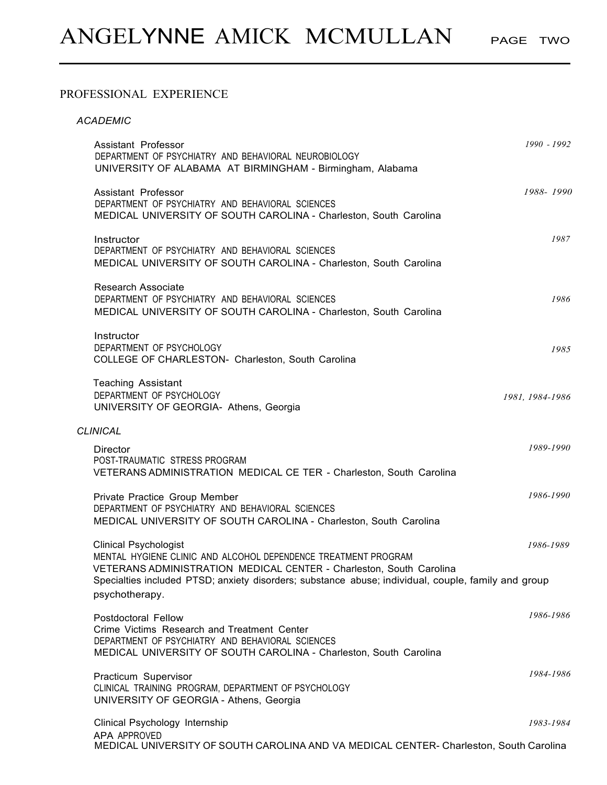# PROFESSIONAL EXPERIENCE

| <b>ACADEMIC</b>                                                                                                                                                                                    |                 |
|----------------------------------------------------------------------------------------------------------------------------------------------------------------------------------------------------|-----------------|
| Assistant Professor<br>DEPARTMENT OF PSYCHIATRY AND BEHAVIORAL NEUROBIOLOGY<br>UNIVERSITY OF ALABAMA AT BIRMINGHAM - Birmingham, Alabama                                                           | 1990 - 1992     |
| Assistant Professor<br>DEPARTMENT OF PSYCHIATRY AND BEHAVIORAL SCIENCES<br>MEDICAL UNIVERSITY OF SOUTH CAROLINA - Charleston, South Carolina                                                       | 1988-1990       |
| Instructor<br>DEPARTMENT OF PSYCHIATRY AND BEHAVIORAL SCIENCES<br>MEDICAL UNIVERSITY OF SOUTH CAROLINA - Charleston, South Carolina                                                                | 1987            |
| <b>Research Associate</b><br>DEPARTMENT OF PSYCHIATRY AND BEHAVIORAL SCIENCES<br>MEDICAL UNIVERSITY OF SOUTH CAROLINA - Charleston, South Carolina                                                 | 1986            |
| Instructor<br>DEPARTMENT OF PSYCHOLOGY<br>COLLEGE OF CHARLESTON- Charleston, South Carolina                                                                                                        | 1985            |
| <b>Teaching Assistant</b><br>DEPARTMENT OF PSYCHOLOGY<br>UNIVERSITY OF GEORGIA- Athens, Georgia                                                                                                    | 1981, 1984-1986 |
| <b>CLINICAL</b>                                                                                                                                                                                    |                 |
| <b>Director</b><br>POST-TRAUMATIC STRESS PROGRAM<br>VETERANS ADMINISTRATION MEDICAL CE TER - Charleston, South Carolina                                                                            | 1989-1990       |
| Private Practice Group Member<br>DEPARTMENT OF PSYCHIATRY AND BEHAVIORAL SCIENCES<br>MEDICAL UNIVERSITY OF SOUTH CAROLINA - Charleston, South Carolina                                             | 1986-1990       |
| <b>Clinical Psychologist</b><br>MENTAL HYGIENE CLINIC AND ALCOHOL DEPENDENCE TREATMENT PROGRAM<br>VETERANS ADMINISTRATION MEDICAL CENTER - Charleston, South Carolina                              | 1986-1989       |
| Specialties included PTSD; anxiety disorders; substance abuse; individual, couple, family and group<br>psychotherapy.                                                                              |                 |
| <b>Postdoctoral Fellow</b><br>Crime Victims Research and Treatment Center<br>DEPARTMENT OF PSYCHIATRY AND BEHAVIORAL SCIENCES<br>MEDICAL UNIVERSITY OF SOUTH CAROLINA - Charleston, South Carolina | 1986-1986       |
| Practicum Supervisor<br>CLINICAL TRAINING PROGRAM, DEPARTMENT OF PSYCHOLOGY<br>UNIVERSITY OF GEORGIA - Athens, Georgia                                                                             | 1984-1986       |
| Clinical Psychology Internship                                                                                                                                                                     | 1983-1984       |

APA APPROVED MEDICAL UNIVERSITY OF SOUTH CAROLINA AND VA MEDICAL CENTER- Charleston, South Carolina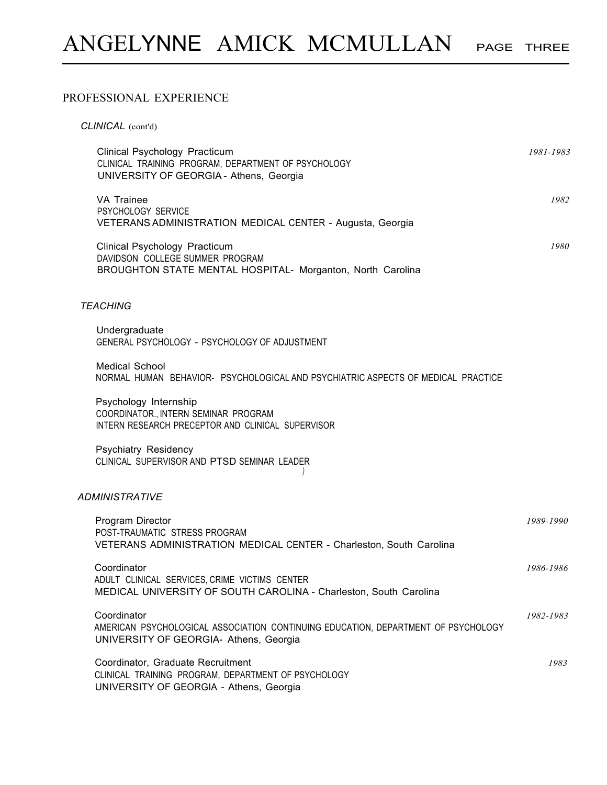# PROFESSIONAL EXPERIENCE

| CLINICAL (cont'd)                                                                                                                          |           |
|--------------------------------------------------------------------------------------------------------------------------------------------|-----------|
| Clinical Psychology Practicum<br>CLINICAL TRAINING PROGRAM, DEPARTMENT OF PSYCHOLOGY<br>UNIVERSITY OF GEORGIA - Athens, Georgia            | 1981-1983 |
| VA Trainee<br>PSYCHOLOGY SERVICE<br>VETERANS ADMINISTRATION MEDICAL CENTER - Augusta, Georgia                                              | 1982      |
| Clinical Psychology Practicum<br>DAVIDSON COLLEGE SUMMER PROGRAM<br>BROUGHTON STATE MENTAL HOSPITAL- Morganton, North Carolina             | 1980      |
| <b>TEACHING</b>                                                                                                                            |           |
| Undergraduate<br>GENERAL PSYCHOLOGY - PSYCHOLOGY OF ADJUSTMENT                                                                             |           |
| <b>Medical School</b><br>NORMAL HUMAN BEHAVIOR- PSYCHOLOGICAL AND PSYCHIATRIC ASPECTS OF MEDICAL PRACTICE                                  |           |
| Psychology Internship<br>COORDINATOR., INTERN SEMINAR PROGRAM<br>INTERN RESEARCH PRECEPTOR AND CLINICAL SUPERVISOR                         |           |
| <b>Psychiatry Residency</b><br>CLINICAL SUPERVISOR AND PTSD SEMINAR LEADER                                                                 |           |
| <b>ADMINISTRATIVE</b>                                                                                                                      |           |
| Program Director<br>POST-TRAUMATIC STRESS PROGRAM<br>VETERANS ADMINISTRATION MEDICAL CENTER - Charleston, South Carolina                   | 1989-1990 |
| Coordinator<br>ADULT CLINICAL SERVICES, CRIME VICTIMS CENTER<br>MEDICAL UNIVERSITY OF SOUTH CAROLINA - Charleston, South Carolina          | 1986-1986 |
| Coordinator<br>AMERICAN PSYCHOLOGICAL ASSOCIATION CONTINUING EDUCATION, DEPARTMENT OF PSYCHOLOGY<br>UNIVERSITY OF GEORGIA- Athens, Georgia | 1982-1983 |
| Coordinator, Graduate Recruitment<br>CLINICAL TRAINING PROGRAM, DEPARTMENT OF PSYCHOLOGY<br>UNIVERSITY OF GEORGIA - Athens, Georgia        | 1983      |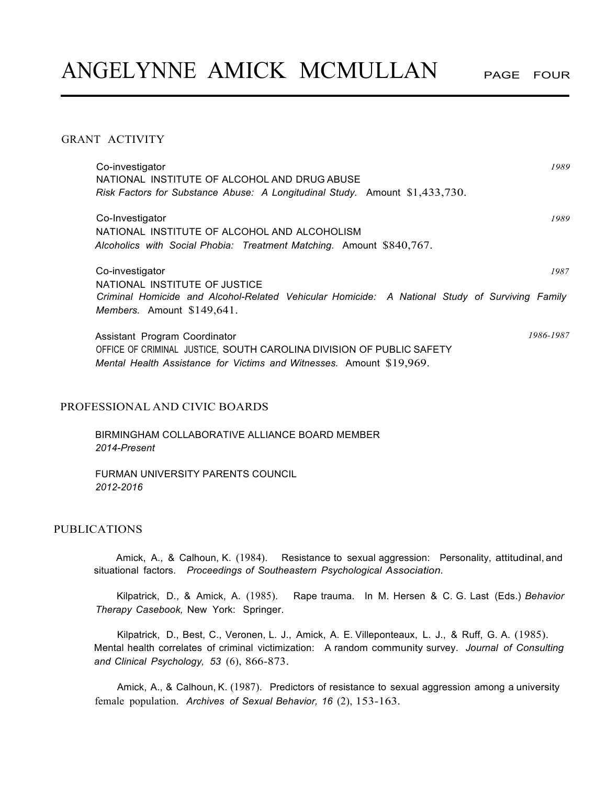# GRANT ACTIVITY

| Co-investigator<br>NATIONAL INSTITUTE OF ALCOHOL AND DRUG ABUSE<br>Risk Factors for Substance Abuse: A Longitudinal Study. Amount $$1,433,730$ .                              | 1989      |
|-------------------------------------------------------------------------------------------------------------------------------------------------------------------------------|-----------|
| Co-Investigator<br>NATIONAL INSTITUTE OF ALCOHOL AND ALCOHOLISM<br>Alcoholics with Social Phobia: Treatment Matching. Amount \$840,767.                                       | 1989      |
| Co-investigator<br>NATIONAL INSTITUTE OF JUSTICE                                                                                                                              | 1987      |
| Criminal Homicide and Alcohol-Related Vehicular Homicide: A National Study of Surviving Family<br><i>Members.</i> Amount $$149,641$ .                                         |           |
| Assistant Program Coordinator<br>OFFICE OF CRIMINAL JUSTICE, SOUTH CAROLINA DIVISION OF PUBLIC SAFETY<br>Mental Health Assistance for Victims and Witnesses. Amount \$19,969. | 1986-1987 |

# PROFESSIONAL AND CIVIC BOARDS

BIRMINGHAM COLLABORATIVE ALLIANCE BOARD MEMBER *2014-Present* 

FURMAN UNIVERSITY PARENTS COUNCIL *2012-2016* 

# PUBLICATIONS

Amick, A., & Calhoun, K. (1984). Resistance to sexual aggression: Personality, attitudinal, and situational factors. *Proceedings of Southeastern Psychological Association.*

Kilpatrick, D., & Amick, A. (1985). Rape trauma. In M. Hersen & C. G. Last (Eds.) *Behavior Therapy Casebook,* New York: Springer.

Kilpatrick, D., Best, C., Veronen, L. J., Amick, A. E. Villeponteaux, L. J., & Ruff, G. A. (1985). Mental health correlates of criminal victimization: A random community survey. *Journal of Consulting and Clinical Psychology, 53* (6), 866-873.

Amick, A., & Calhoun, K. (1987). Predictors of resistance to sexual aggression among a university female population. *Archives of Sexual Behavior, 16* (2), 153-163.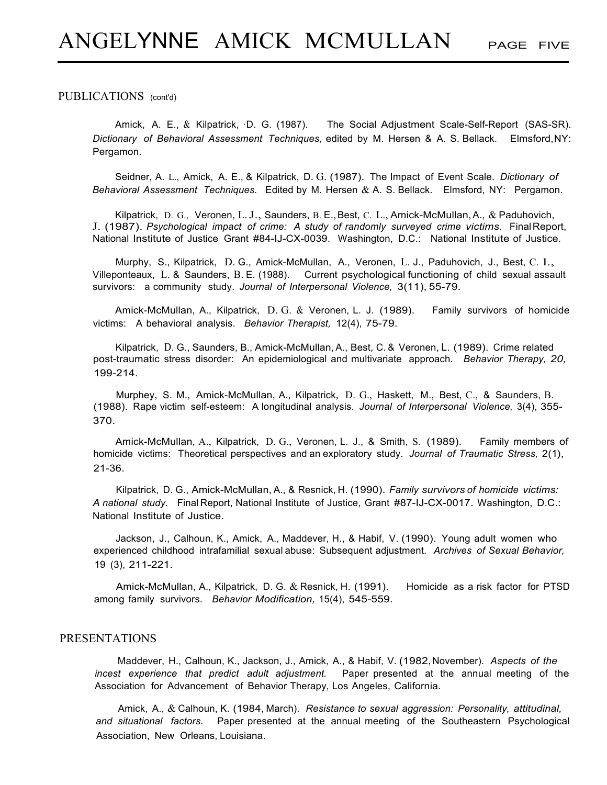#### PUBLICATIONS (cont'd)

Amick, A. E., & Kilpatrick, ·D. G. (1987). The Social Adjustment Scale-Self-Report (SAS-SR). *Dictionary of Behavioral Assessment Techniques,* edited by M. Hersen & A. S. Bellack. Elmsford,NY: Pergamon.

Seidner, A. L., Amick, A. E., & Kilpatrick, D. G. (1987). The Impact of Event Scale. *Dictionary of Behavioral Assessment Techniques.* Edited by M. Hersen & A. S. Bellack. Elmsford, NY: Pergamon.

Kilpatrick, D. G., Veronen, L. J., Saunders, B. E., Best, C. L., Amick-McMullan, A., & Paduhovich, J. (1987). *Psychological impact of crime: A study of randomly surveyed crime victims.* FinalReport, National Institute of Justice Grant #84-IJ-CX-0039. Washington, D.C.: National Institute of Justice.

Murphy, S., Kilpatrick, D. G., Amick-McMullan, A., Veronen, L. J., Paduhovich, J., Best, C. l., Villeponteaux, L. & Saunders, B. E. (1988). Current psychological functioning of child sexual assault survivors: a community study. *Journal of Interpersonal Violence,* 3(11), 55-79.

Amick-McMullan, A., Kilpatrick, D. G. & Veronen, L. J. (1989). Family survivors of homicide victims: A behavioral analysis. *Behavior Therapist,* 12(4), 75-79.

Kilpatrick, D. G., Saunders, B., Amick-McMullan,A., Best, C. & Veronen, L. (1989). Crime related post-traumatic stress disorder: An epidemiological and multivariate approach. *Behavior Therapy, 20,* 199-214.

Murphey, S. M., Amick-McMullan, A., Kilpatrick, D. G., Haskett, M., Best, C., & Saunders, B. (1988). Rape victim self-esteem: A longitudinal analysis. *Journal of Interpersonal Violence,* 3(4), 355- 370.

Amick-McMullan, A., Kilpatrick, D. G., Veronen, L. J., & Smith, S. (1989). Family members of homicide victims: Theoretical perspectives and an exploratory study. *Journal of Traumatic Stress,* 2(1), 21-36.

Kilpatrick, D. G., Amick-McMullan, A., & Resnick, H. (1990). *Family survivors of homicide victims: A national study.* Final Report, National Institute of Justice, Grant #87-IJ-CX-0017. Washington, D.C.: National Institute of Justice.

Jackson, J., Calhoun, K., Amick, A., Maddever, H., & Habif, V. (1990). Young adult women who experienced childhood intrafamilial sexual abuse: Subsequent adjustment. *Archives of Sexual Behavior,* 19 (3), 211-221.

Amick-McMullan, A., Kilpatrick, D. G. & Resnick, H. (1991). Homicide as a risk factor for PTSD among family survivors. *Behavior Modification,* 15(4), 545-559.

# PRESENTATIONS

Maddever, H., Calhoun, K., Jackson, J., Amick, A., & Habif, V. (1982,November). *Aspects of the incest experience that predict adult adjustment.* Paper presented at the annual meeting of the Association for Advancement of Behavior Therapy, Los Angeles, California.

Amick, A., & Calhoun, K. (1984, March). *Resistance to sexual aggression: Personality, attitudinal, and situational factors.* Paper presented at the annual meeting of the Southeastern Psychological Association, New Orleans, Louisiana.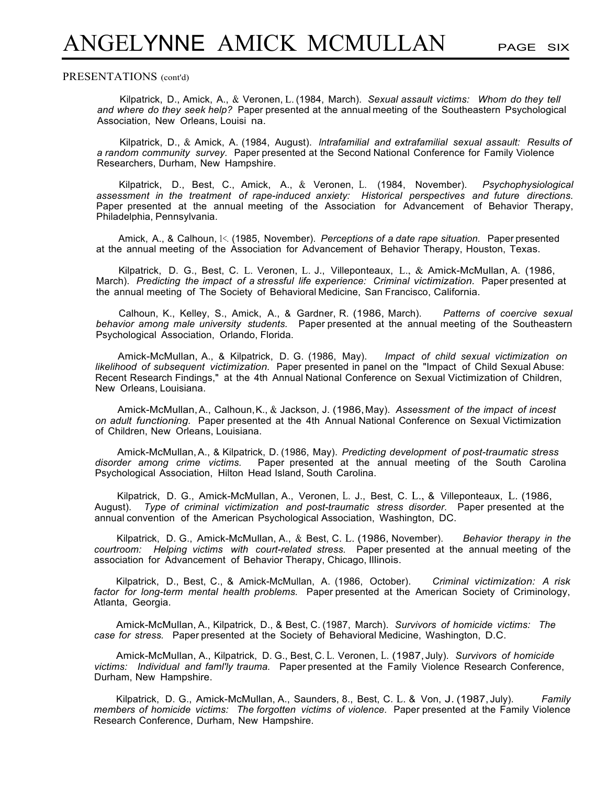#### PRESENTATIONS (cont'd)

Kilpatrick, D., Amick, A., & Veronen, L. (1984, March). *Sexual assault victims: Whom do they tell and where do they seek help?* Paper presented at the annual meeting of the Southeastern Psychological Association, New Orleans, Louisi na.

Kilpatrick, D., & Amick, A. (1984, August). *lntrafamilial and extrafamilial sexual assault: Results of a random community survey.* Paper presented at the Second National Conference for Family Violence Researchers, Durham, New Hampshire.

Kilpatrick, D., Best, C., Amick, A., & Veronen, L. (1984, November). *Psychophysiological assessment in the treatment of rape-induced anxiety: Historical perspectives and future directions.*  Paper presented at the annual meeting of the Association for Advancement of Behavior Therapy, Philadelphia, Pennsylvania.

Amick, A., & Calhoun, 1<. (1985, November). *Perceptions of a date rape situation.* Paper presented at the annual meeting of the Association for Advancement of Behavior Therapy, Houston, Texas.

Kilpatrick, D. G., Best, C. L. Veronen, L. J., Villeponteaux, L., & Amick-McMullan, A. (1986, March). *Predicting the impact of a stressful life experience: Criminal victimization.* Paper presented at the annual meeting of The Society of Behavioral Medicine, San Francisco, California.

Calhoun, K., Kelley, S., Amick, A., & Gardner, R. (1986, March). *Patterns of coercive sexual behavior among male university students.* Paper presented at the annual meeting of the Southeastern Psychological Association, Orlando, Florida.

Amick-McMullan, A., & Kilpatrick, D. G. (1986, May). *Impact of child sexual victimization on likelihood of subsequent victimization.* Paper presented in panel on the "Impact of Child Sexual Abuse: Recent Research Findings," at the 4th Annual National Conference on Sexual Victimization of Children, New Orleans, Louisiana.

Amick-McMullan,A., Calhoun,K., & Jackson, J. (1986,May). *Assessment of the impact of incest on adult functioning.* Paper presented at the 4th Annual National Conference on Sexual Victimization of Children, New Orleans, Louisiana.

Amick-McMullan,A., & Kilpatrick, D. (1986, May). *Predicting development of post-traumatic stress disorder among crime victims.* Paper presented at the annual meeting of the South Carolina Psychological Association, Hilton Head Island, South Carolina.

Kilpatrick, D. G., Amick-McMullan, A., Veronen, L. J., Best, C. L., & Villeponteaux, L. (1986, August). *Type of criminal victimization and post-traumatic stress disorder.* Paper presented at the annual convention of the American Psychological Association, Washington, DC.

Kilpatrick, D. G., Amick-McMullan, A., & Best, C. L. (1986, November). *Behavior therapy in the courtroom: Helping victims with court-related stress.* Paper presented at the annual meeting of the association for Advancement of Behavior Therapy, Chicago, Illinois.

Kilpatrick, D., Best, C., & Amick-McMullan, A. (1986, October). *Criminal victimization: A risk factor for long-term mental health problems.* Paper presented at the American Society of Criminology, Atlanta, Georgia.

Amick-McMullan, A., Kilpatrick, D., & Best, C. (1987, March). *Survivors of homicide victims: The case for stress.* Paper presented at the Society of Behavioral Medicine, Washington, D.C.

Amick-McMullan, A., Kilpatrick, D. G., Best, C. L. Veronen, L. (1987,July). *Survivors of homicide victims: Individual and faml'ly trauma.* Paper presented at the Family Violence Research Conference, Durham, New Hampshire.

Kilpatrick, D. G., Amick-McMullan, A., Saunders, 8., Best, C. L. & Von, J. (1987, July). *Family members of homicide victims: The forgotten victims of violence.* Paper presented at the Family Violence Research Conference, Durham, New Hampshire.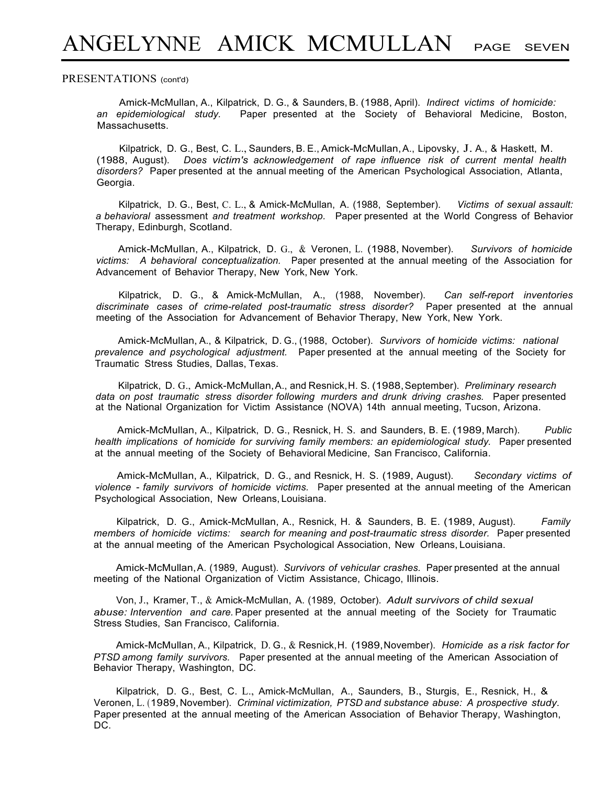#### PRESENTATIONS (cont'd)

Amick-McMullan, A., Kilpatrick, D. G., & Saunders, B. (1988, April). *Indirect victims of homicide: an epidemiological study.* Paper presented at the Society of Behavioral Medicine, Boston, Massachusetts.

Kilpatrick, D. G., Best, C. L., Saunders, B. E., Amick-McMullan,A., Lipovsky, J. A., & Haskett, M. (1988, August). *Does victim's acknowledgement of rape influence risk of current mental health disorders?* Paper presented at the annual meeting of the American Psychological Association, Atlanta, Georgia.

Kilpatrick, D. G., Best, C. L., & Amick-McMullan, A. (1988, September). *Victims of sexual assault: a behavioral* assessment *and treatment workshop.* Paper presented at the World Congress of Behavior Therapy, Edinburgh, Scotland.

Amick-McMullan, A., Kilpatrick, D. G., & Veronen, L. (1988, November). *Survivors of homicide victims: A behavioral conceptualization.* Paper presented at the annual meeting of the Association for Advancement of Behavior Therapy, New York, New York.

Kilpatrick, D. G., & Amick-McMullan, A., (1988, November). *Can self-report inventories discriminate cases of crime-related post-traumatic stress disorder?* Paper presented at the annual meeting of the Association for Advancement of Behavior Therapy, New York, New York.

Amick-McMullan, A., & Kilpatrick, D. G., (1988, October). *Survivors of homicide victims: national prevalence and psychological adjustment.* Paper presented at the annual meeting of the Society for Traumatic Stress Studies, Dallas, Texas.

Kilpatrick, D. G., Amick-McMullan,A., and Resnick,H. S. (1988,September). *Preliminary research data on post traumatic stress disorder following murders and drunk driving crashes.* Paper presented at the National Organization for Victim Assistance (NOVA) 14th annual meeting, Tucson, Arizona.

Amick-McMullan, A., Kilpatrick, D. G., Resnick, H. S. and Saunders, B. E. (1989, March). *Public health implications of homicide for surviving family members: an epidemiological study.* Paper presented at the annual meeting of the Society of Behavioral Medicine, San Francisco, California.

Amick-McMullan, A., Kilpatrick, D. G., and Resnick, H. S. (1989, August). *Secondary victims of violence* - *family survivors of homicide victims.* Paper presented at the annual meeting of the American Psychological Association, New Orleans, Louisiana.

Kilpatrick, D. G., Amick-McMullan, A., Resnick, H. & Saunders, B. E. (1989, August). *Family members of homicide victims: search for meaning and post-traumatic stress disorder.* Paper presented at the annual meeting of the American Psychological Association, New Orleans, Louisiana.

Amick-McMullan,A. (1989, August). *Survivors of vehicular crashes.* Paper presented at the annual meeting of the National Organization of Victim Assistance, Chicago, Illinois.

Von, J., Kramer, T., & Amick-McMullan, A. (1989, October). *Adult survivors of child sexual abuse: Intervention and care.* Paper presented at the annual meeting of the Society for Traumatic Stress Studies, San Francisco, California.

Amick-McMullan, A., Kilpatrick, D. G., & Resnick,H. (1989,November). *Homicide as a risk factor for PTSD among family survivors.* Paper presented at the annual meeting of the American Association of Behavior Therapy, Washington, DC.

Kilpatrick, D. G., Best, C. L., Amick-McMullan, A., Saunders, B., Sturgis, E., Resnick, H., & Veronen, L. (1989,November). *Criminal victimization, PTSD and substance abuse: A prospective study.*  Paper presented at the annual meeting of the American Association of Behavior Therapy, Washington, DC.